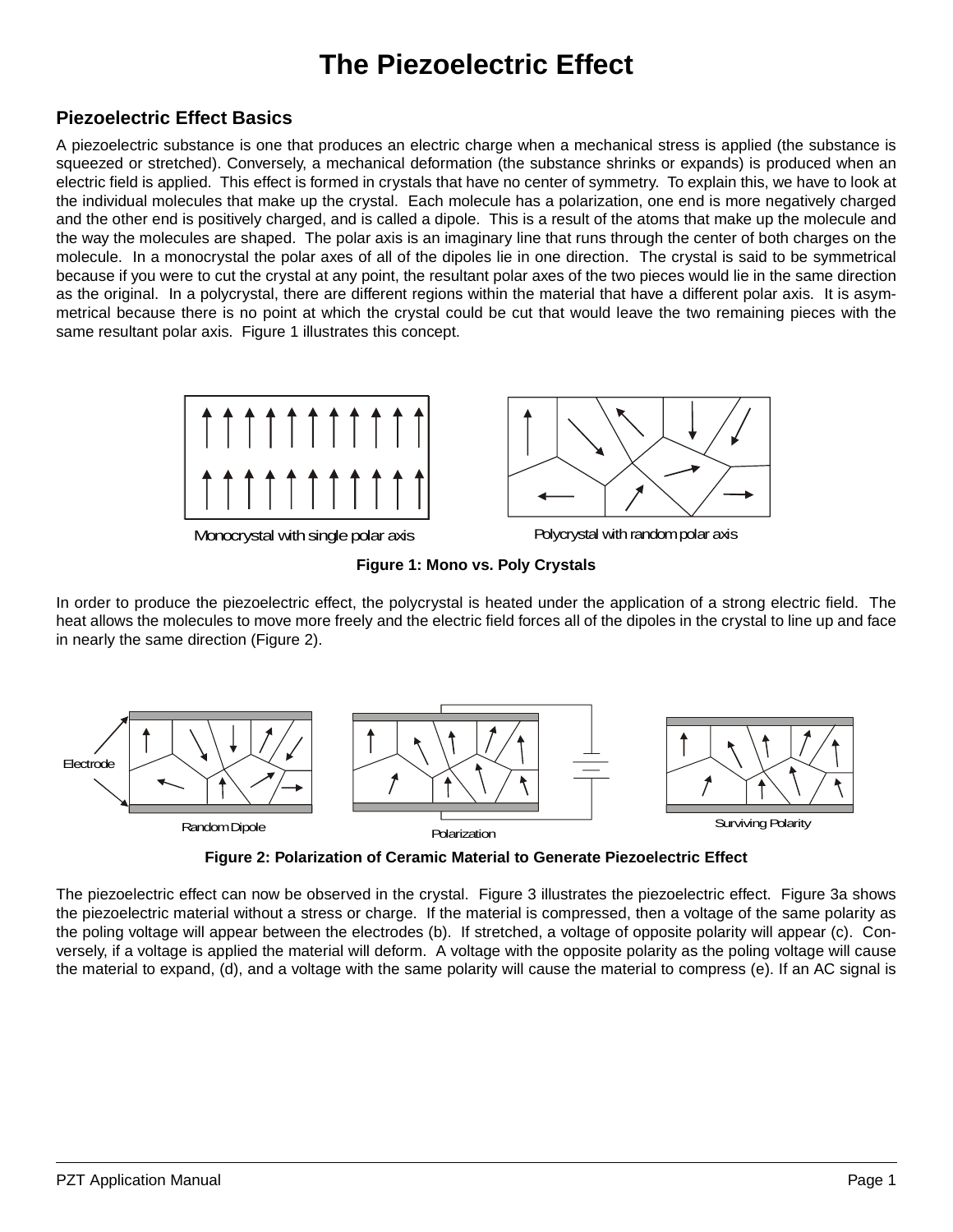## **The Piezoelectric Effect**

## **Piezoelectric Effect Basics**

A piezoelectric substance is one that produces an electric charge when a mechanical stress is applied (the substance is squeezed or stretched). Conversely, a mechanical deformation (the substance shrinks or expands) is produced when an electric field is applied. This effect is formed in crystals that have no center of symmetry. To explain this, we have to look at the individual molecules that make up the crystal. Each molecule has a polarization, one end is more negatively charged and the other end is positively charged, and is called a dipole. This is a result of the atoms that make up the molecule and the way the molecules are shaped. The polar axis is an imaginary line that runs through the center of both charges on the molecule. In a monocrystal the polar axes of all of the dipoles lie in one direction. The crystal is said to be symmetrical because if you were to cut the crystal at any point, the resultant polar axes of the two pieces would lie in the same direction as the original. In a polycrystal, there are different regions within the material that have a different polar axis. It is asymmetrical because there is no point at which the crystal could be cut that would leave the two remaining pieces with the same resultant polar axis. Figure 1 illustrates this concept.



Monocrystal with single polar axis **Polycrystal with random polar axis** 



In order to produce the piezoelectric effect, the polycrystal is heated under the application of a strong electric field. The heat allows the molecules to move more freely and the electric field forces all of the dipoles in the crystal to line up and face in nearly the same direction (Figure 2).



**Figure 2: Polarization of Ceramic Material to Generate Piezoelectric Effect**

The piezoelectric effect can now be observed in the crystal. Figure [3](#page-1-0) illustrates the piezoelectric effect. Figure [3](#page-1-0)a shows the piezoelectric material without a stress or charge. If the material is compressed, then a voltage of the same polarity as the poling voltage will appear between the electrodes (b). If stretched, a voltage of opposite polarity will appear (c). Conversely, if a voltage is applied the material will deform. A voltage with the opposite polarity as the poling voltage will cause the material to expand, (d), and a voltage with the same polarity will cause the material to compress (e). If an AC signal is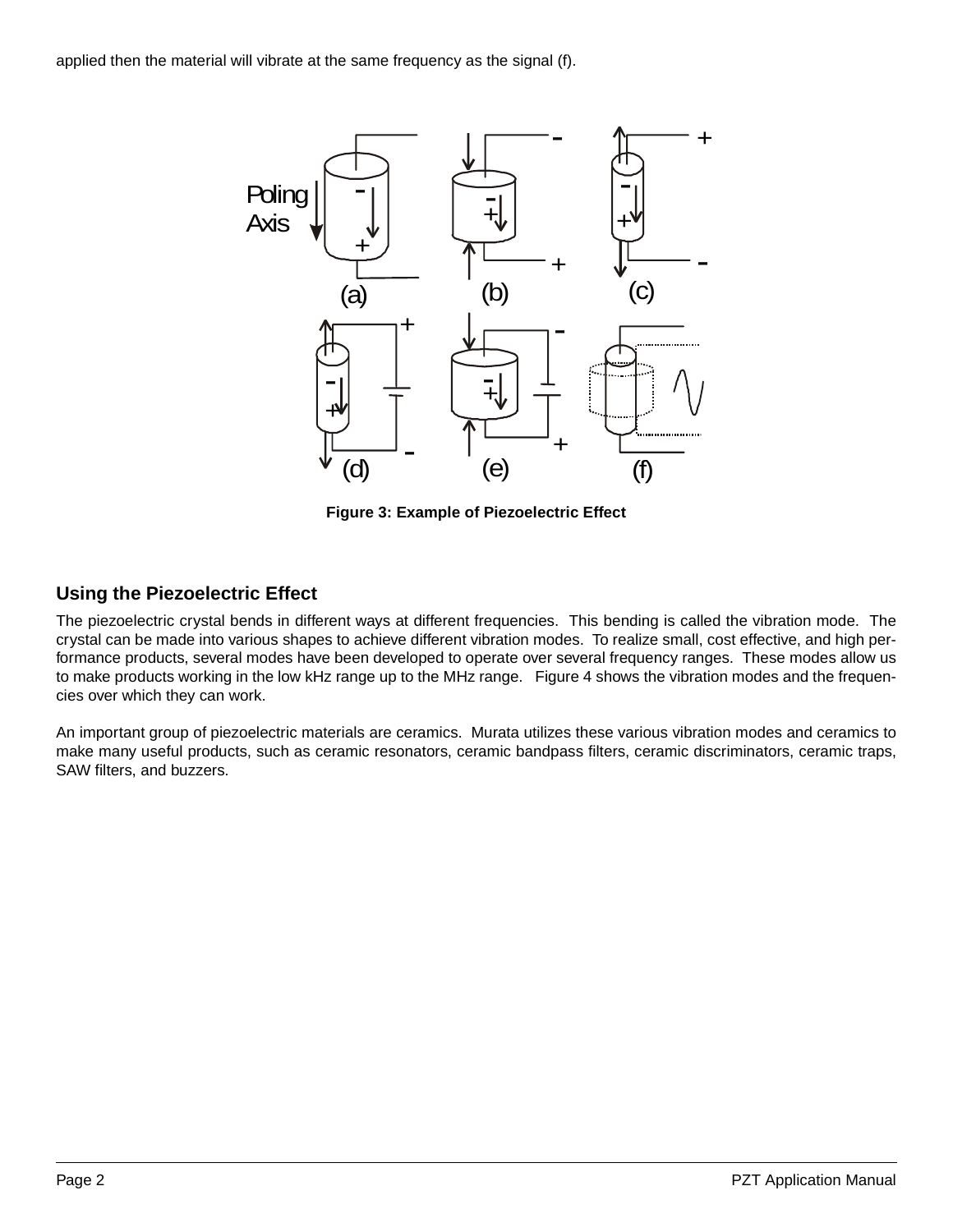<span id="page-1-0"></span>applied then the material will vibrate at the same frequency as the signal (f).



**Figure 3: Example of Piezoelectric Effect**

## **Using the Piezoelectric Effect**

The piezoelectric crystal bends in different ways at different frequencies. This bending is called the vibration mode. The crystal can be made into various shapes to achieve different vibration modes. To realize small, cost effective, and high performance products, several modes have been developed to operate over several frequency ranges. These modes allow us to make products working in the low kHz range up to the MHz range. Figure [4](#page-2-0) shows the vibration modes and the frequencies over which they can work.

An important group of piezoelectric materials are ceramics. Murata utilizes these various vibration modes and ceramics to make many useful products, such as ceramic resonators, ceramic bandpass filters, ceramic discriminators, ceramic traps, SAW filters, and buzzers.